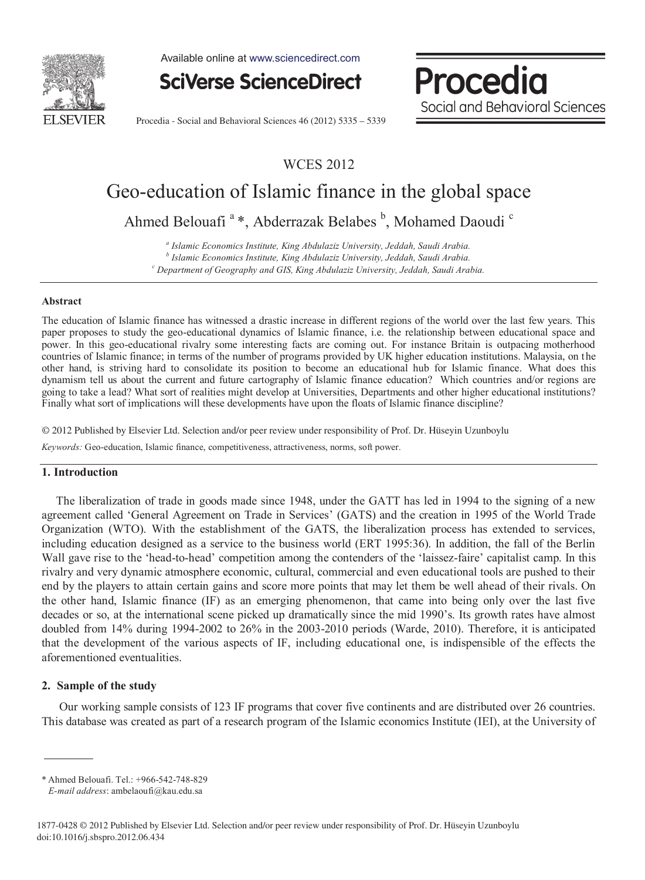

Available online at www.sciencedirect.com

**SciVerse ScienceDirect** 

Procedia Social and Behavioral Sciences

Procedia - Social and Behavioral Sciences 46 (2012) 5335 – 5339

WCES 2012

# Geo-education of Islamic finance in the global space

Ahmed Belouafi<sup>a</sup>\*, Abderrazak Belabes<sup>b</sup>, Mohamed Daoudi<sup>c</sup>

*a Islamic Economics Institute, King Abdulaziz University, Jeddah, Saudi Arabia. b Islamic Economics Institute, King Abdulaziz University, Jeddah, Saudi Arabia. c Department of Geography and GIS, King Abdulaziz University, Jeddah, Saudi Arabia.* 

#### **Abstract**

The education of Islamic finance has witnessed a drastic increase in different regions of the world over the last few years. This paper proposes to study the geo-educational dynamics of Islamic finance, i.e. the relationship between educational space and power. In this geo-educational rivalry some interesting facts are coming out. For instance Britain is outpacing motherhood countries of Islamic finance; in terms of the number of programs provided by UK higher education institutions. Malaysia, on the other hand, is striving hard to consolidate its position to become an educational hub for Islamic finance. What does this dynamism tell us about the current and future cartography of Islamic finance education? Which countries and/or regions are going to take a lead? What sort of realities might develop at Universities, Departments and other higher educational institutions? Finally what sort of implications will these developments have upon the floats of Islamic finance discipline?

© 2012 Published by Elsevier Ltd. © 2012 Published by Elsevier Ltd. Selection and/or peer review under responsibility of Prof. Dr. Hüseyin Uzunboylu

*Keywords:* Geo-education, Islamic finance, competitiveness, attractiveness, norms, soft power.

### **1. Introduction**

 The liberalization of trade in goods made since 1948, under the GATT has led in 1994 to the signing of a new agreement called 'General Agreement on Trade in Services' (GATS) and the creation in 1995 of the World Trade Organization (WTO). With the establishment of the GATS, the liberalization process has extended to services, including education designed as a service to the business world (ERT 1995:36). In addition, the fall of the Berlin Wall gave rise to the 'head-to-head' competition among the contenders of the 'laissez-faire' capitalist camp. In this rivalry and very dynamic atmosphere economic, cultural, commercial and even educational tools are pushed to their end by the players to attain certain gains and score more points that may let them be well ahead of their rivals. On the other hand, Islamic finance (IF) as an emerging phenomenon, that came into being only over the last five decades or so, at the international scene picked up dramatically since the mid 1990's. Its growth rates have almost doubled from 14% during 1994-2002 to 26% in the 2003-2010 periods (Warde, 2010). Therefore, it is anticipated that the development of the various aspects of IF, including educational one, is indispensible of the effects the aforementioned eventualities.

### **2. Sample of the study**

 Our working sample consists of 123 IF programs that cover five continents and are distributed over 26 countries. This database was created as part of a research program of the Islamic economics Institute (IEI), at the University of

<sup>\*</sup> Ahmed Belouafi. Tel.: +966-542-748-829  *E-mail address*: ambelaoufi@kau.edu.sa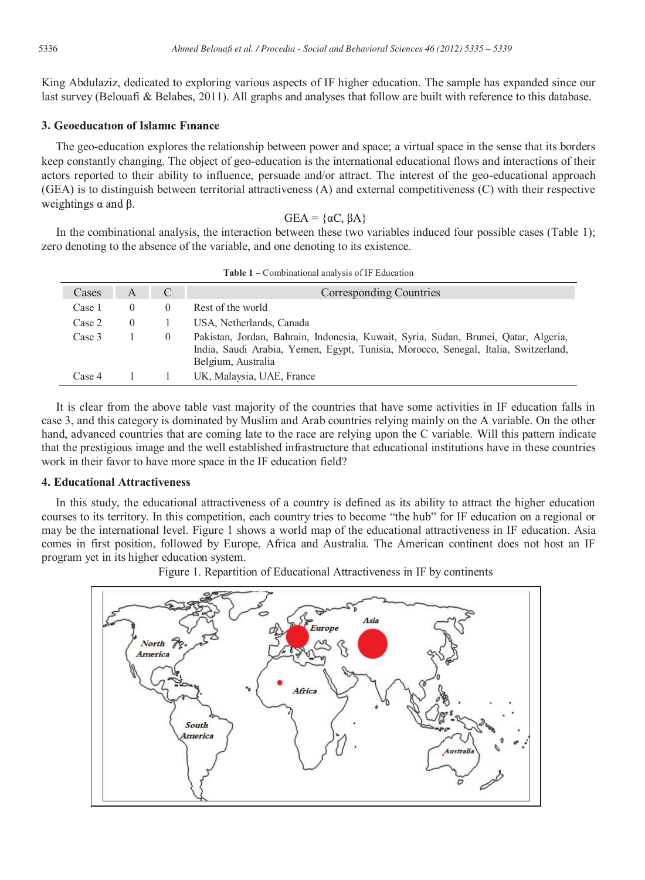King Abdulaziz, dedicated to exploring various aspects of IF higher education. The sample has expanded since our last survey (Belouafi & Belabes, 2011). All graphs and analyses that follow are built with reference to this database.

## **3. Geoeducation of Islamic Finance**

The geo-education explores the relationship between power and space; a virtual space in the sense that its borders keep constantly changing. The object of geo-education is the international educational flows and interactions of their actors reported to their ability to influence, persuade and/or attract. The interest of the geo-educational approach (GEA) is to distinguish between territorial attractiveness (A) and external competitiveness (C) with their respective weightings  $\alpha$  and  $\beta$ .

$$
GEA = \{\alpha C, \beta A
$$

 In the combinational analysis, the interaction between these two variables induced four possible cases (Table 1); zero denoting to the absence of the variable, and one denoting to its existence.

| <b>Table 1</b> – Combinational analysis of IF Education |          |                  |                                                                                                                                                                                                 |
|---------------------------------------------------------|----------|------------------|-------------------------------------------------------------------------------------------------------------------------------------------------------------------------------------------------|
| Cases                                                   | A        | C                | Corresponding Countries                                                                                                                                                                         |
| Case 1                                                  | $\theta$ | $\theta$         | Rest of the world                                                                                                                                                                               |
| Case 2                                                  | $\Omega$ |                  | USA, Netherlands, Canada                                                                                                                                                                        |
| Case 3                                                  |          | $\left( \right)$ | Pakistan, Jordan, Bahrain, Indonesia, Kuwait, Syria, Sudan, Brunei, Qatar, Algeria,<br>India, Saudi Arabia, Yemen, Egypt, Tunisia, Morocco, Senegal, Italia, Switzerland,<br>Belgium, Australia |
| Case 4                                                  |          |                  | UK, Malaysia, UAE, France                                                                                                                                                                       |

 It is clear from the above table vast majority of the countries that have some activities in IF education falls in case 3, and this category is dominated by Muslim and Arab countries relying mainly on the A variable. On the other hand, advanced countries that are coming late to the race are relying upon the C variable. Will this pattern indicate that the prestigious image and the well established infrastructure that educational institutions have in these countries work in their favor to have more space in the IF education field?

### **4. Educational Attractiveness**

In this study, the educational attractiveness of a country is defined as its ability to attract the higher education courses to its territory. In this competition, each country tries to become "the hub" for IF education on a regional or may be the international level. Figure 1 shows a world map of the educational attractiveness in IF education. Asia comes in first position, followed by Europe, Africa and Australia. The American continent does not host an IF program yet in its higher education system.

Figure 1. Repartition of Educational Attractiveness in IF by continents